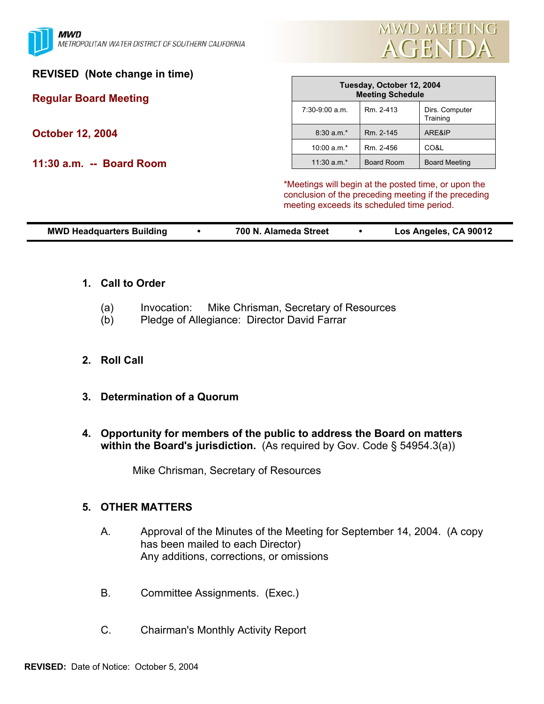

## **REVISED (Note change in time)**

# **Regular Board Meeting**

**October 12, 2004** 

**11:30 a.m. -- Board Room** 

| Tuesday, October 12, 2004<br><b>Meeting Schedule</b> |                   |                            |  |  |  |
|------------------------------------------------------|-------------------|----------------------------|--|--|--|
| $7:30-9:00$ a.m.                                     | Rm. 2-413         | Dirs. Computer<br>Training |  |  |  |
| $8:30$ a.m.*                                         | Rm. 2-145         | ARE&IP                     |  |  |  |
| $10:00 a.m.*$                                        | Rm. 2-456         | CO&L                       |  |  |  |
| 11:30 $a.m.*$                                        | <b>Board Room</b> | <b>Board Meeting</b>       |  |  |  |

\*Meetings will begin at the posted time, or upon the conclusion of the preceding meeting if the preceding meeting exceeds its scheduled time period.

| <b>MWD Headquarters Building</b> | 700 N. Alameda Street | Los Angeles, CA 90012 |
|----------------------------------|-----------------------|-----------------------|

#### **1. Call to Order**

- (a) Invocation: Mike Chrisman, Secretary of Resources
- (b) Pledge of Allegiance: Director David Farrar

## **2. Roll Call**

- **3. Determination of a Quorum**
- **4. Opportunity for members of the public to address the Board on matters within the Board's jurisdiction.** (As required by Gov. Code § 54954.3(a))

Mike Chrisman, Secretary of Resources

#### **5. OTHER MATTERS**

- A. Approval of the Minutes of the Meeting for September 14, 2004. (A copy has been mailed to each Director) Any additions, corrections, or omissions
- B. Committee Assignments. (Exec.)
- C. Chairman's Monthly Activity Report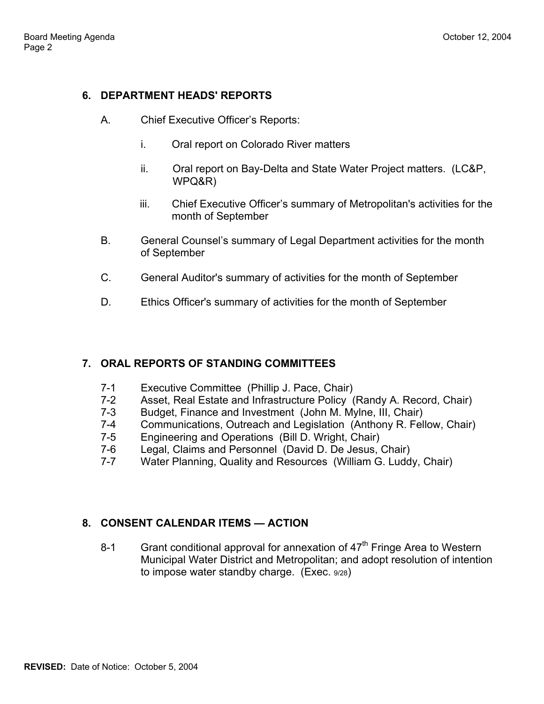### **6. DEPARTMENT HEADS' REPORTS**

- A. Chief Executive Officer's Reports:
	- i. Oral report on Colorado River matters
	- ii. Oral report on Bay-Delta and State Water Project matters. (LC&P, WPQ&R)
	- iii. Chief Executive Officer's summary of Metropolitan's activities for the month of September
- B. General Counsel's summary of Legal Department activities for the month of September
- C. General Auditor's summary of activities for the month of September
- D. Ethics Officer's summary of activities for the month of September

## **7. ORAL REPORTS OF STANDING COMMITTEES**

- 7-1 Executive Committee (Phillip J. Pace, Chair)
- 7-2 Asset, Real Estate and Infrastructure Policy (Randy A. Record, Chair)
- 7-3 Budget, Finance and Investment (John M. Mylne, III, Chair)
- 7-4 Communications, Outreach and Legislation (Anthony R. Fellow, Chair)
- 7-5 Engineering and Operations (Bill D. Wright, Chair)
- 7-6 Legal, Claims and Personnel (David D. De Jesus, Chair)
- 7-7 Water Planning, Quality and Resources (William G. Luddy, Chair)

## **8. CONSENT CALENDAR ITEMS — ACTION**

8-1 Grant conditional approval for annexation of  $47<sup>th</sup>$  Fringe Area to Western Municipal Water District and Metropolitan; and adopt resolution of intention to impose water standby charge. (Exec. 9/28)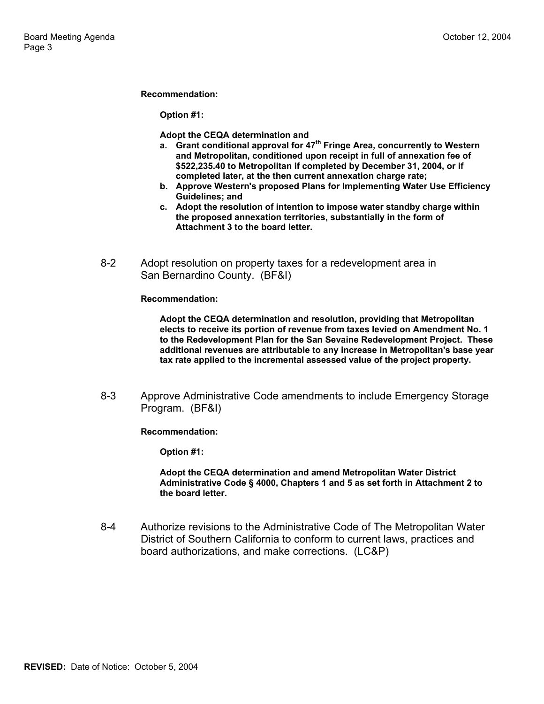#### **Recommendation:**

**Option #1:** 

**Adopt the CEQA determination and**

- **a. Grant conditional approval for 47th Fringe Area, concurrently to Western and Metropolitan, conditioned upon receipt in full of annexation fee of \$522,235.40 to Metropolitan if completed by December 31, 2004, or if completed later, at the then current annexation charge rate;**
- **b. Approve Western's proposed Plans for Implementing Water Use Efficiency Guidelines; and**
- **c. Adopt the resolution of intention to impose water standby charge within the proposed annexation territories, substantially in the form of Attachment 3 to the board letter.**
- 8-2 Adopt resolution on property taxes for a redevelopment area in San Bernardino County. (BF&I)

**Recommendation:** 

**Adopt the CEQA determination and resolution, providing that Metropolitan elects to receive its portion of revenue from taxes levied on Amendment No. 1 to the Redevelopment Plan for the San Sevaine Redevelopment Project. These additional revenues are attributable to any increase in Metropolitan's base year tax rate applied to the incremental assessed value of the project property.**

8-3 Approve Administrative Code amendments to include Emergency Storage Program. (BF&I)

**Recommendation:** 

**Option #1:** 

**Adopt the CEQA determination and amend Metropolitan Water District Administrative Code § 4000, Chapters 1 and 5 as set forth in Attachment 2 to the board letter.**

8-4 Authorize revisions to the Administrative Code of The Metropolitan Water District of Southern California to conform to current laws, practices and board authorizations, and make corrections. (LC&P)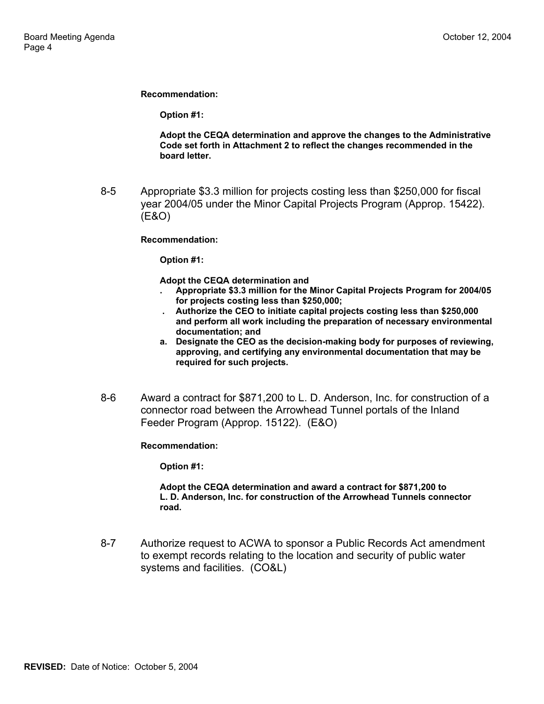**Recommendation:** 

**Option #1:** 

**Adopt the CEQA determination and approve the changes to the Administrative Code set forth in Attachment 2 to reflect the changes recommended in the board letter.**

8-5 Appropriate \$3.3 million for projects costing less than \$250,000 for fiscal year 2004/05 under the Minor Capital Projects Program (Approp. 15422). (E&O)

**Recommendation:** 

**Option #1:** 

**Adopt the CEQA determination and**

- **. Appropriate \$3.3 million for the Minor Capital Projects Program for 2004/05 for projects costing less than \$250,000;**
- **. Authorize the CEO to initiate capital projects costing less than \$250,000 and perform all work including the preparation of necessary environmental documentation; and**
- **a. Designate the CEO as the decision-making body for purposes of reviewing, approving, and certifying any environmental documentation that may be required for such projects.**
- 8-6 Award a contract for \$871,200 to L. D. Anderson, Inc. for construction of a connector road between the Arrowhead Tunnel portals of the Inland Feeder Program (Approp. 15122). (E&O)

**Recommendation:** 

**Option #1:** 

#### **Adopt the CEQA determination and award a contract for \$871,200 to L. D. Anderson, Inc. for construction of the Arrowhead Tunnels connector road.**

8-7 Authorize request to ACWA to sponsor a Public Records Act amendment to exempt records relating to the location and security of public water systems and facilities. (CO&L)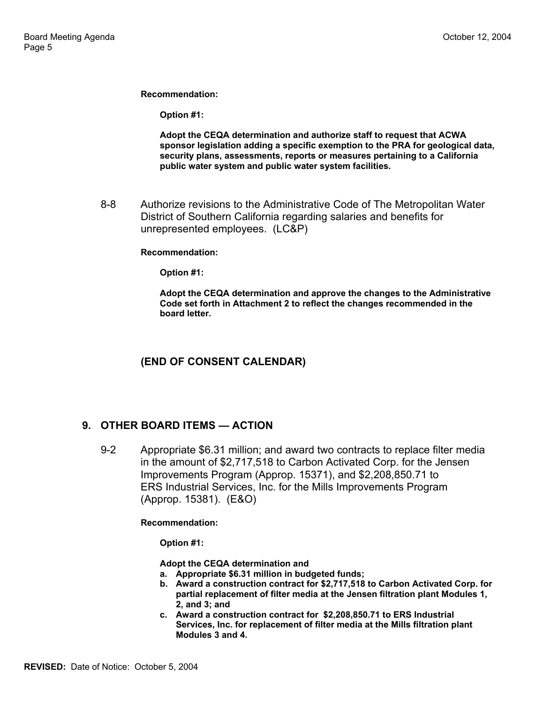**Recommendation:** 

**Option #1:** 

**Adopt the CEQA determination and authorize staff to request that ACWA sponsor legislation adding a specific exemption to the PRA for geological data, security plans, assessments, reports or measures pertaining to a California public water system and public water system facilities.** 

8-8 Authorize revisions to the Administrative Code of The Metropolitan Water District of Southern California regarding salaries and benefits for unrepresented employees. (LC&P)

#### **Recommendation:**

**Option #1:** 

**Adopt the CEQA determination and approve the changes to the Administrative Code set forth in Attachment 2 to reflect the changes recommended in the board letter.**

## **(END OF CONSENT CALENDAR)**

## **9. OTHER BOARD ITEMS — ACTION**

9-2 Appropriate \$6.31 million; and award two contracts to replace filter media in the amount of \$2,717,518 to Carbon Activated Corp. for the Jensen Improvements Program (Approp. 15371), and \$2,208,850.71 to ERS Industrial Services, Inc. for the Mills Improvements Program (Approp. 15381). (E&O)

**Recommendation:** 

**Option #1:** 

**Adopt the CEQA determination and**

- **a. Appropriate \$6.31 million in budgeted funds;**
- **b. Award a construction contract for \$2,717,518 to Carbon Activated Corp. for partial replacement of filter media at the Jensen filtration plant Modules 1, 2, and 3; and**
- **c. Award a construction contract for \$2,208,850.71 to ERS Industrial Services, Inc. for replacement of filter media at the Mills filtration plant Modules 3 and 4.**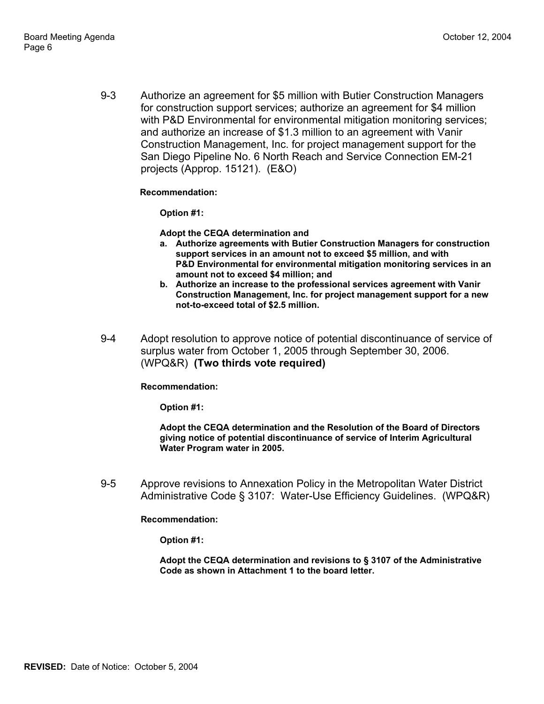9-3 Authorize an agreement for \$5 million with Butier Construction Managers for construction support services; authorize an agreement for \$4 million with P&D Environmental for environmental mitigation monitoring services; and authorize an increase of \$1.3 million to an agreement with Vanir Construction Management, Inc. for project management support for the San Diego Pipeline No. 6 North Reach and Service Connection EM-21 projects (Approp. 15121). (E&O)

#### **Recommendation:**

**Option #1:** 

**Adopt the CEQA determination and** 

- **a. Authorize agreements with Butier Construction Managers for construction support services in an amount not to exceed \$5 million, and with P&D Environmental for environmental mitigation monitoring services in an amount not to exceed \$4 million; and**
- **b. Authorize an increase to the professional services agreement with Vanir Construction Management, Inc. for project management support for a new not-to-exceed total of \$2.5 million.**
- 9-4 Adopt resolution to approve notice of potential discontinuance of service of surplus water from October 1, 2005 through September 30, 2006. (WPQ&R) **(Two thirds vote required)**

**Recommendation:** 

**Option #1:** 

**Adopt the CEQA determination and the Resolution of the Board of Directors giving notice of potential discontinuance of service of Interim Agricultural Water Program water in 2005.** 

9-5 Approve revisions to Annexation Policy in the Metropolitan Water District Administrative Code § 3107: Water-Use Efficiency Guidelines. (WPQ&R)

**Recommendation:** 

**Option #1:** 

**Adopt the CEQA determination and revisions to § 3107 of the Administrative Code as shown in Attachment 1 to the board letter.**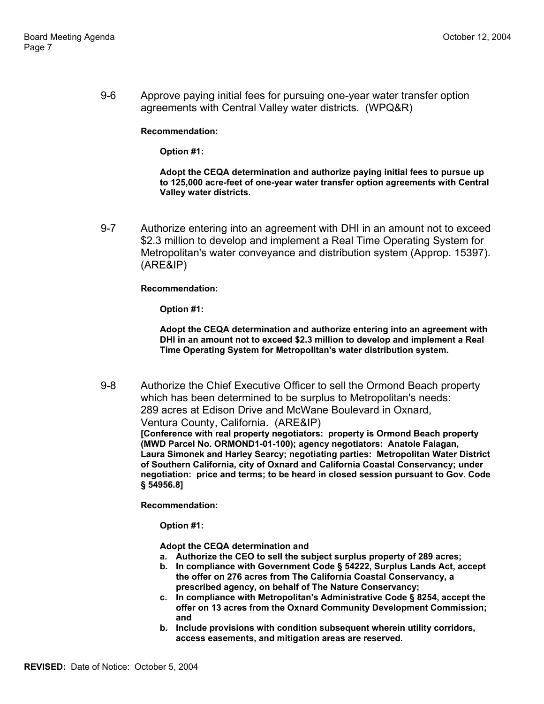9-6 Approve paying initial fees for pursuing one-year water transfer option agreements with Central Valley water districts. (WPQ&R)

**Recommendation:** 

**Option #1:** 

**Adopt the CEQA determination and authorize paying initial fees to pursue up to 125,000 acre-feet of one-year water transfer option agreements with Central Valley water districts.** 

9-7 Authorize entering into an agreement with DHI in an amount not to exceed \$2.3 million to develop and implement a Real Time Operating System for Metropolitan's water conveyance and distribution system (Approp. 15397). (ARE&IP)

**Recommendation:** 

**Option #1:** 

**Adopt the CEQA determination and authorize entering into an agreement with DHI in an amount not to exceed \$2.3 million to develop and implement a Real Time Operating System for Metropolitan's water distribution system.** 

9-8 Authorize the Chief Executive Officer to sell the Ormond Beach property which has been determined to be surplus to Metropolitan's needs: 289 acres at Edison Drive and McWane Boulevard in Oxnard, Ventura County, California. (ARE&IP) **[Conference with real property negotiators: property is Ormond Beach property (MWD Parcel No. ORMOND1-01-100); agency negotiators: Anatole Falagan, Laura Simonek and Harley Searcy; negotiating parties: Metropolitan Water District of Southern California, city of Oxnard and California Coastal Conservancy; under negotiation: price and terms; to be heard in closed session pursuant to Gov. Code § 54956.8]** 

**Recommendation:** 

**Option #1:** 

**Adopt the CEQA determination and**

- **a. Authorize the CEO to sell the subject surplus property of 289 acres;**
- **b. In compliance with Government Code § 54222, Surplus Lands Act, accept the offer on 276 acres from The California Coastal Conservancy, a prescribed agency, on behalf of The Nature Conservancy;**
- **c. In compliance with Metropolitan's Administrative Code § 8254, accept the offer on 13 acres from the Oxnard Community Development Commission; and**
- **b. Include provisions with condition subsequent wherein utility corridors, access easements, and mitigation areas are reserved.**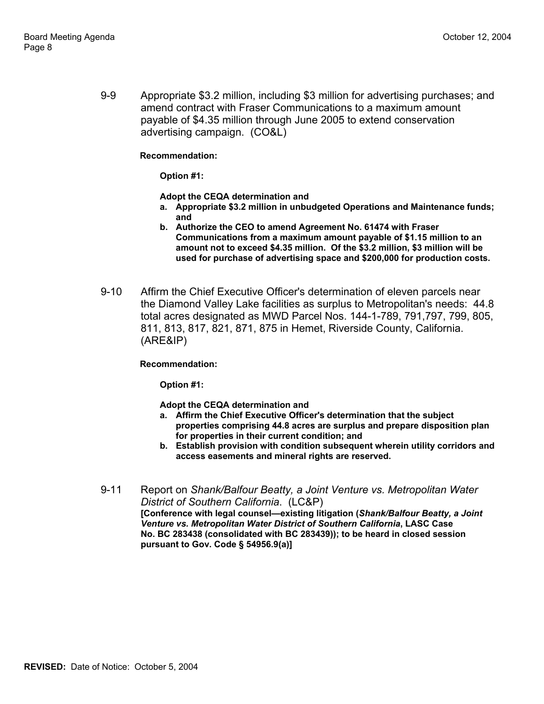9-9 Appropriate \$3.2 million, including \$3 million for advertising purchases; and amend contract with Fraser Communications to a maximum amount payable of \$4.35 million through June 2005 to extend conservation advertising campaign. (CO&L)

#### **Recommendation:**

**Option #1:** 

**Adopt the CEQA determination and** 

- **a. Appropriate \$3.2 million in unbudgeted Operations and Maintenance funds; and**
- **b. Authorize the CEO to amend Agreement No. 61474 with Fraser Communications from a maximum amount payable of \$1.15 million to an amount not to exceed \$4.35 million. Of the \$3.2 million, \$3 million will be used for purchase of advertising space and \$200,000 for production costs.**
- 9-10 Affirm the Chief Executive Officer's determination of eleven parcels near the Diamond Valley Lake facilities as surplus to Metropolitan's needs: 44.8 total acres designated as MWD Parcel Nos. 144-1-789, 791,797, 799, 805, 811, 813, 817, 821, 871, 875 in Hemet, Riverside County, California. (ARE&IP)

#### **Recommendation:**

**Option #1:** 

**Adopt the CEQA determination and** 

- **a. Affirm the Chief Executive Officer's determination that the subject properties comprising 44.8 acres are surplus and prepare disposition plan for properties in their current condition; and**
- **b. Establish provision with condition subsequent wherein utility corridors and access easements and mineral rights are reserved.**
- 9-11 Report on *Shank/Balfour Beatty, a Joint Venture vs. Metropolitan Water District of Southern California*. (LC&P) **[Conference with legal counsel—existing litigation (***Shank/Balfour Beatty, a Joint Venture vs. Metropolitan Water District of Southern California***, LASC Case No. BC 283438 (consolidated with BC 283439)); to be heard in closed session pursuant to Gov. Code § 54956.9(a)]**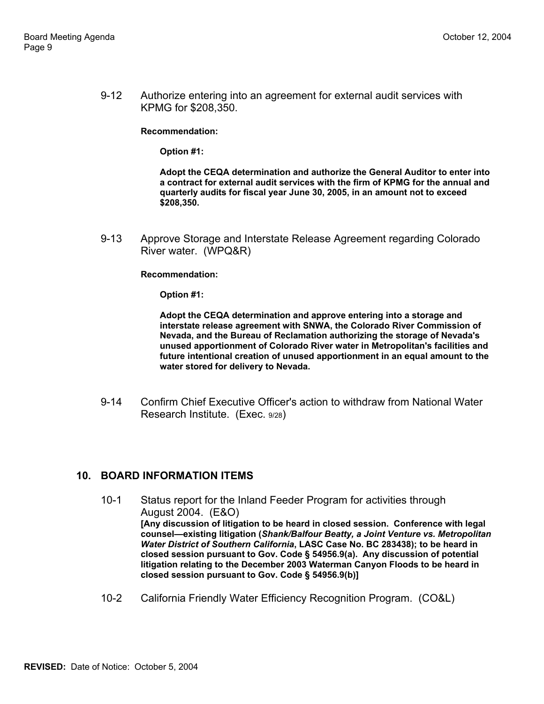9-12 Authorize entering into an agreement for external audit services with KPMG for \$208,350.

**Recommendation:** 

**Option #1:** 

**Adopt the CEQA determination and authorize the General Auditor to enter into a contract for external audit services with the firm of KPMG for the annual and quarterly audits for fiscal year June 30, 2005, in an amount not to exceed \$208,350.** 

9-13 Approve Storage and Interstate Release Agreement regarding Colorado River water. (WPQ&R)

**Recommendation:** 

**Option #1:** 

**Adopt the CEQA determination and approve entering into a storage and interstate release agreement with SNWA, the Colorado River Commission of Nevada, and the Bureau of Reclamation authorizing the storage of Nevada's unused apportionment of Colorado River water in Metropolitan's facilities and future intentional creation of unused apportionment in an equal amount to the water stored for delivery to Nevada.** 

9-14 Confirm Chief Executive Officer's action to withdraw from National Water Research Institute. (Exec. 9/28)

#### **10. BOARD INFORMATION ITEMS**

- 10-1 Status report for the Inland Feeder Program for activities through August 2004. (E&O) **[Any discussion of litigation to be heard in closed session. Conference with legal counsel—existing litigation (***Shank/Balfour Beatty, a Joint Venture vs. Metropolitan Water District of Southern California***, LASC Case No. BC 283438); to be heard in closed session pursuant to Gov. Code § 54956.9(a). Any discussion of potential litigation relating to the December 2003 Waterman Canyon Floods to be heard in closed session pursuant to Gov. Code § 54956.9(b)]**
- 10-2 California Friendly Water Efficiency Recognition Program. (CO&L)